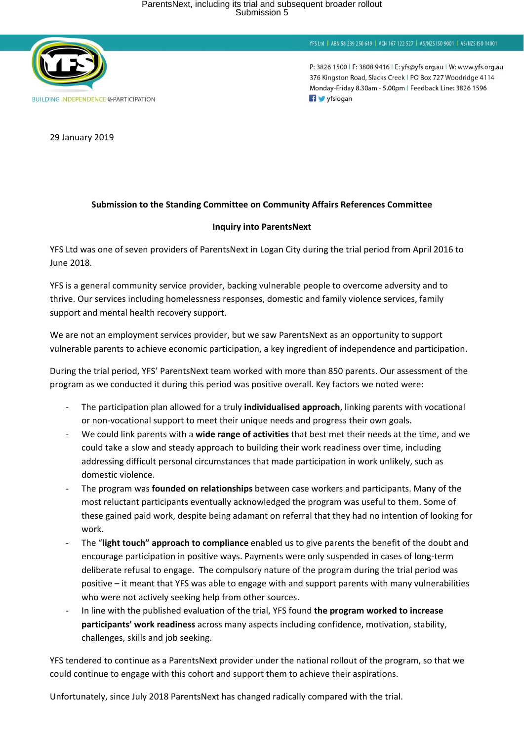

YFS Ltd | ABN 58 239 250 649 | ACN 167 122 527 | AS/NZS ISO 9001 | AS/NZS ISO 14001

P: 3826 1500 | F: 3808 9416 | E: yfs@yfs.org.au | W: www.yfs.org.au 376 Kingston Road, Slacks Creek | PO Box 727 Woodridge 4114 Monday-Friday 8.30am - 5.00pm | Feedback Line: 3826 1596 f yfslogan

29 January 2019

## **Submission to the Standing Committee on Community Affairs References Committee**

## **Inquiry into ParentsNext**

YFS Ltd was one of seven providers of ParentsNext in Logan City during the trial period from April 2016 to June 2018.

YFS is a general community service provider, backing vulnerable people to overcome adversity and to thrive. Our services including homelessness responses, domestic and family violence services, family support and mental health recovery support.

We are not an employment services provider, but we saw ParentsNext as an opportunity to support vulnerable parents to achieve economic participation, a key ingredient of independence and participation.

During the trial period, YFS' ParentsNext team worked with more than 850 parents. Our assessment of the program as we conducted it during this period was positive overall. Key factors we noted were:

- The participation plan allowed for a truly **individualised approach**, linking parents with vocational or non-vocational support to meet their unique needs and progress their own goals.
- We could link parents with a **wide range of activities** that best met their needs at the time, and we could take a slow and steady approach to building their work readiness over time, including addressing difficult personal circumstances that made participation in work unlikely, such as domestic violence.
- The program was **founded on relationships** between case workers and participants. Many of the most reluctant participants eventually acknowledged the program was useful to them. Some of these gained paid work, despite being adamant on referral that they had no intention of looking for work.
- The "**light touch" approach to compliance** enabled us to give parents the benefit of the doubt and encourage participation in positive ways. Payments were only suspended in cases of long-term deliberate refusal to engage. The compulsory nature of the program during the trial period was positive – it meant that YFS was able to engage with and support parents with many vulnerabilities who were not actively seeking help from other sources.
- In line with the published evaluation of the trial, YFS found **the program worked to increase participants' work readiness** across many aspects including confidence, motivation, stability, challenges, skills and job seeking.

YFS tendered to continue as a ParentsNext provider under the national rollout of the program, so that we could continue to engage with this cohort and support them to achieve their aspirations.

Unfortunately, since July 2018 ParentsNext has changed radically compared with the trial.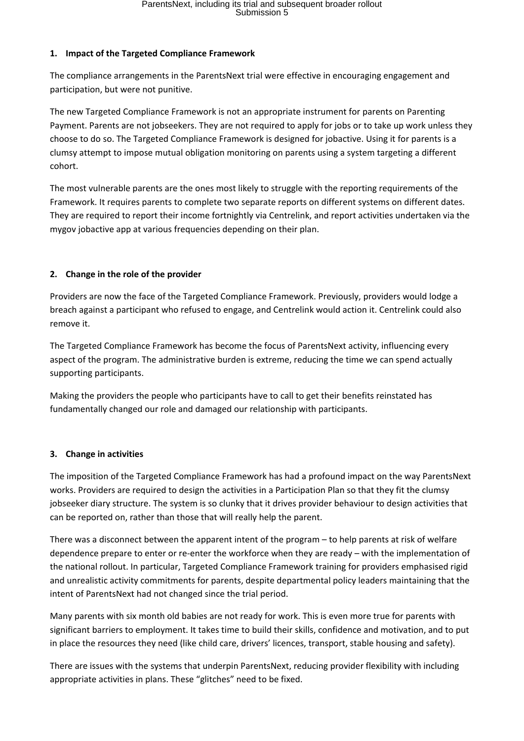## **1. Impact of the Targeted Compliance Framework**

The compliance arrangements in the ParentsNext trial were effective in encouraging engagement and participation, but were not punitive.

The new Targeted Compliance Framework is not an appropriate instrument for parents on Parenting Payment. Parents are not jobseekers. They are not required to apply for jobs or to take up work unless they choose to do so. The Targeted Compliance Framework is designed for jobactive. Using it for parents is a clumsy attempt to impose mutual obligation monitoring on parents using a system targeting a different cohort.

The most vulnerable parents are the ones most likely to struggle with the reporting requirements of the Framework. It requires parents to complete two separate reports on different systems on different dates. They are required to report their income fortnightly via Centrelink, and report activities undertaken via the mygov jobactive app at various frequencies depending on their plan.

# **2. Change in the role of the provider**

Providers are now the face of the Targeted Compliance Framework. Previously, providers would lodge a breach against a participant who refused to engage, and Centrelink would action it. Centrelink could also remove it.

The Targeted Compliance Framework has become the focus of ParentsNext activity, influencing every aspect of the program. The administrative burden is extreme, reducing the time we can spend actually supporting participants.

Making the providers the people who participants have to call to get their benefits reinstated has fundamentally changed our role and damaged our relationship with participants.

## **3. Change in activities**

The imposition of the Targeted Compliance Framework has had a profound impact on the way ParentsNext works. Providers are required to design the activities in a Participation Plan so that they fit the clumsy jobseeker diary structure. The system is so clunky that it drives provider behaviour to design activities that can be reported on, rather than those that will really help the parent.

There was a disconnect between the apparent intent of the program – to help parents at risk of welfare dependence prepare to enter or re-enter the workforce when they are ready – with the implementation of the national rollout. In particular, Targeted Compliance Framework training for providers emphasised rigid and unrealistic activity commitments for parents, despite departmental policy leaders maintaining that the intent of ParentsNext had not changed since the trial period.

Many parents with six month old babies are not ready for work. This is even more true for parents with significant barriers to employment. It takes time to build their skills, confidence and motivation, and to put in place the resources they need (like child care, drivers' licences, transport, stable housing and safety).

There are issues with the systems that underpin ParentsNext, reducing provider flexibility with including appropriate activities in plans. These "glitches" need to be fixed.